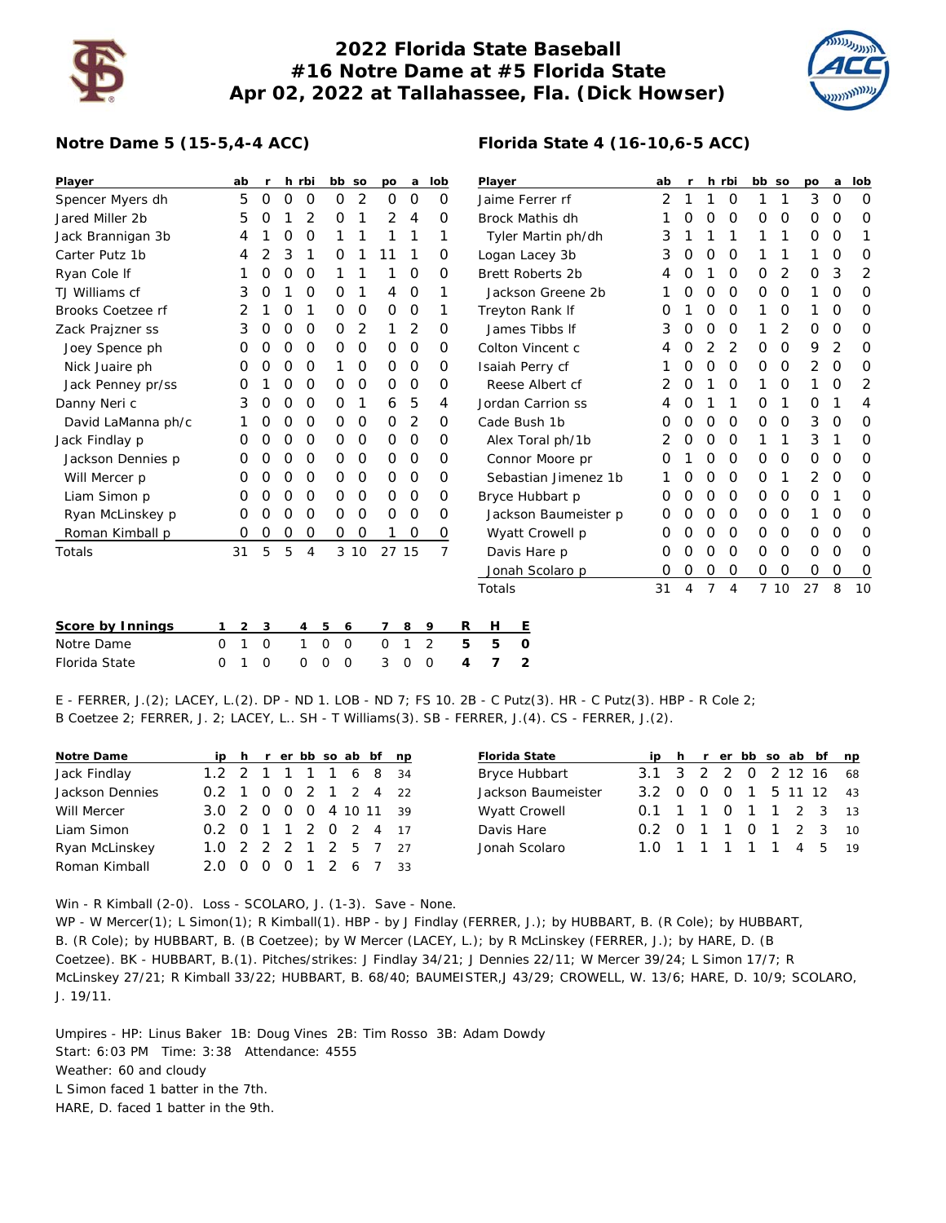

## **2022 Florida State Baseball #16 Notre Dame at #5 Florida State Apr 02, 2022 at Tallahassee, Fla. (Dick Howser)**



## **Notre Dame 5 (15-5,4-4 ACC)**

| Player                  |          | ab | r.       |   | h rbi          |             | bb so       | po             | a           | lob |                | Player                 |                  |             |                         | ab                | $\mathbf{r}$ |             | h rbi       |             | bb so          | po          | a        | lob         |                |    |
|-------------------------|----------|----|----------|---|----------------|-------------|-------------|----------------|-------------|-----|----------------|------------------------|------------------|-------------|-------------------------|-------------------|--------------|-------------|-------------|-------------|----------------|-------------|----------|-------------|----------------|----|
| Spencer Myers dh        |          | 5  | 0        | 0 | O              | $\mathbf 0$ | 2           | $\mathbf 0$    | O           |     | $\Omega$       | Jaime Ferrer rf        |                  |             |                         |                   | 2            |             |             | $\mathbf 0$ | 1              | 1           | 3        | $\Omega$    | $\Omega$       |    |
| Jared Miller 2b         |          | 5  | 0        |   | 2              | 0           | 1           | 2              | 4           |     | 0              | <b>Brock Mathis dh</b> |                  |             |                         |                   | 0            | O           | $\Omega$    | 0           | 0              | 0           | O        | 0           |                |    |
| Jack Brannigan 3b       |          | 4  |          | 0 | 0              | 1           |             |                | 1           |     | 1              | Tyler Martin ph/dh     |                  |             |                         |                   | 3            |             |             |             | 1              | 1           | O        | 0           | 1              |    |
| Carter Putz 1b          |          | 4  | 2        | 3 | 1              | 0           |             | 11             | 1           |     | 0              |                        |                  |             | Logan Lacey 3b          |                   |              | 3           | 0           | 0           | 0              | 1           |          | 1           | O              | 0  |
| Ryan Cole If            |          |    | 0        | 0 | O              | 1           |             |                | O           |     | O              |                        |                  |             | <b>Brett Roberts 2b</b> |                   |              | 4           | 0           |             | $\mathbf 0$    | 0           | 2        | 0           | 3              | 2  |
| TJ Williams cf          |          | 3  | O        |   | 0              | 0           | 1           | 4              | O           |     | 1              |                        |                  |             | Jackson Greene 2b       |                   |              |             | 0           | 0           | $\mathbf 0$    | 0           | 0        | 1           | 0              | 0  |
| Brooks Coetzee rf       |          | 2  |          | 0 | 1              | 0           | O           | $\mathbf 0$    | $\mathbf 0$ |     | 1              |                        |                  |             | Treyton Rank If         |                   |              | Ω           |             | 0           | $\Omega$       | 1           | 0        | 1           | $\Omega$       | 0  |
| Zack Prajzner ss        |          | 3  | 0        | 0 | O              | 0           | 2           | $\overline{1}$ | 2           |     | 0              |                        |                  |             | James Tibbs If          |                   |              | 3           | 0           | 0           | $\mathbf 0$    | 1           | 2        | $\mathbf 0$ | $\Omega$       | 0  |
| Joey Spence ph          |          | O  | O        | 0 | 0              | 0           | 0           | 0              | 0           |     | 0              |                        | Colton Vincent c |             |                         |                   |              | 4           | $\Omega$    | 2           | $\overline{2}$ | 0           | 0        | 9           | 2              | 0  |
| Nick Juaire ph          |          | O  | Ο        | 0 | O              | 1           | 0           | $\mathbf 0$    | O           |     | 0              | Isaiah Perry cf        |                  |             |                         |                   |              | 0           | $\mathbf 0$ | $\mathbf 0$ | 0              | $\mathbf 0$ | 2        | 0           | 0              |    |
| Jack Penney pr/ss       |          | 0  |          | 0 | O              | 0           | 0           | 0              | O           |     | 0              | Reese Albert cf        |                  |             |                         |                   | 2            | 0           |             | $\mathbf 0$ | 1              | 0           | 1        | 0           | $\overline{2}$ |    |
| Danny Neri c            |          | 3  | 0        | 0 | O              | 0           | 1           | 6              | 5           |     | 4              | Jordan Carrion ss      |                  |             |                         | 4                 | O            |             |             | 0           | 1              | 0           |          | 4           |                |    |
| David LaManna ph/c      |          |    | 0        | 0 | O              | 0           | 0           | 0              | 2           |     | 0              |                        | Cade Bush 1b     |             |                         | $\mathbf{\Omega}$ | 0            | 0           | $\Omega$    | 0           | 0              | 3           | $\Omega$ | 0           |                |    |
| Jack Findlay p          |          | O  | O        | 0 | O              | 0           | $\mathbf 0$ | $\mathbf 0$    | 0           |     | 0              | Alex Toral ph/1b       |                  |             | 2                       | 0                 | 0            | $\mathbf 0$ | 1           | 1           | 3              | 1           | 0        |             |                |    |
| Jackson Dennies p       |          | 0  | 0        | 0 | O              | 0           | 0           | 0              | 0           |     | 0              | Connor Moore pr        |                  |             |                         | Ω                 |              | 0           | 0           | 0           | 0              | $\mathbf 0$ | $\Omega$ | 0           |                |    |
| Will Mercer p           |          | O  | Ο        | 0 | O              | 0           | 0           | $\Omega$       | O           |     | 0              | Sebastian Jimenez 1b   |                  |             |                         |                   | 0            | O           | $\Omega$    | 0           | 1              | 2           | $\Omega$ | 0           |                |    |
| Liam Simon p            |          | 0  | O        | 0 | O              | 0           | 0           | $\mathbf 0$    | 0           |     | 0              |                        | Bryce Hubbart p  |             |                         | 0                 | 0            | $\mathbf 0$ | $\mathbf 0$ | 0           | 0              | 0           |          | 0           |                |    |
| Ryan McLinskey p        |          | 0  | 0        | 0 | O              | 0           | 0           | 0              | 0           |     | 0              | Jackson Baumeister p   |                  |             |                         | O                 | 0            | 0           | 0           | 0           | 0              | 1           | O        | 0           |                |    |
| Roman Kimball p         |          | 0  | 0        | 0 | O              | 0           | O           |                | 0           |     | 0              |                        | Wyatt Crowell p  |             |                         | O                 | 0            | 0           | $\mathbf 0$ | 0           | 0              | $\mathbf 0$ | O        | 0           |                |    |
| <b>Totals</b>           |          | 31 | 5        | 5 | $\overline{4}$ |             | 3 10        |                | 27 15       |     | $\overline{7}$ |                        |                  |             | Davis Hare p            |                   |              | 0           | 0           | 0           | $\mathbf 0$    | 0           | 0        | $\mathbf 0$ | 0              | 0  |
|                         |          |    |          |   |                |             |             |                |             |     |                |                        | Jonah Scolaro p  |             |                         | 0                 | 0            | 0           | 0           | 0           | 0              | $\mathbf 0$ | O        | 0           |                |    |
|                         |          |    |          |   |                |             |             |                |             |     |                |                        | Totals           |             |                         |                   |              | 31          | 4           | 7           | $\overline{4}$ |             | 7 10     | 27          | 8              | 10 |
| <b>Score by Innings</b> | 1        | 2  | 3        |   | 4              | 5           | 6           | 7              | 8           | 9   |                | R                      | н                | Е           |                         |                   |              |             |             |             |                |             |          |             |                |    |
| Notre Dame              | $\Omega$ | 1  | 0        |   | $\mathbf{1}$   | $\mathbf 0$ | $\mathbf 0$ | 0              | 1           | 2   |                | 5                      | 5                | $\mathbf 0$ |                         |                   |              |             |             |             |                |             |          |             |                |    |
| Florida State           | $\Omega$ |    | $\Omega$ |   | 0              | 0           | O           | 3              | O           | O   |                | 4                      | 7                | 2           |                         |                   |              |             |             |             |                |             |          |             |                |    |

E - FERRER, J.(2); LACEY, L.(2). DP - ND 1. LOB - ND 7; FS 10. 2B - C Putz(3). HR - C Putz(3). HBP - R Cole 2; B Coetzee 2; FERRER, J. 2; LACEY, L.. SH - T Williams(3). SB - FERRER, J.(4). CS - FERRER, J.(2).

| Notre Dame      |                        |  |  |  | ip h r er bb so ab bf np | <b>Florida State</b> |                        |  |  |  | ip h r er bb so ab bf np |  |
|-----------------|------------------------|--|--|--|--------------------------|----------------------|------------------------|--|--|--|--------------------------|--|
| Jack Findlay    | 1.2 2 1 1 1 1 6 8 34   |  |  |  |                          | Bryce Hubbart        | 3.1 3 2 2 0 2 12 16 68 |  |  |  |                          |  |
| Jackson Dennies | 0.2 1 0 0 2 1 2 4 22   |  |  |  |                          | Jackson Baumeister   | 3.2 0 0 0 1 5 11 12 43 |  |  |  |                          |  |
| Will Mercer     | 3.0 2 0 0 0 4 10 11 39 |  |  |  |                          | <b>Wyatt Crowell</b> | 0.1 1 1 0 1 1 2 3 13   |  |  |  |                          |  |
| Liam Simon      | 0.2 0 1 1 2 0 2 4 17   |  |  |  |                          | Davis Hare           | 0.2 0 1 1 0 1 2 3 10   |  |  |  |                          |  |
| Ryan McLinskey  | 1.0 2 2 2 1 2 5 7 27   |  |  |  |                          | Jonah Scolaro        | 1.0 1 1 1 1 1 4 5 19   |  |  |  |                          |  |
| Roman Kimball   | 2.0 0 0 0 1 2 6 7 33   |  |  |  |                          |                      |                        |  |  |  |                          |  |

Win - R Kimball (2-0). Loss - SCOLARO, J. (1-3). Save - None. WP - W Mercer(1); L Simon(1); R Kimball(1). HBP - by J Findlay (FERRER, J.); by HUBBART, B. (R Cole); by HUBBART, B. (R Cole); by HUBBART, B. (B Coetzee); by W Mercer (LACEY, L.); by R McLinskey (FERRER, J.); by HARE, D. (B Coetzee). BK - HUBBART, B.(1). Pitches/strikes: J Findlay 34/21; J Dennies 22/11; W Mercer 39/24; L Simon 17/7; R McLinskey 27/21; R Kimball 33/22; HUBBART, B. 68/40; BAUMEISTER,J 43/29; CROWELL, W. 13/6; HARE, D. 10/9; SCOLARO, J. 19/11.

Umpires - HP: Linus Baker 1B: Doug Vines 2B: Tim Rosso 3B: Adam Dowdy Start: 6:03 PM Time: 3:38 Attendance: 4555 Weather: 60 and cloudy L Simon faced 1 batter in the 7th. HARE, D. faced 1 batter in the 9th.

## **Florida State 4 (16-10,6-5 ACC)**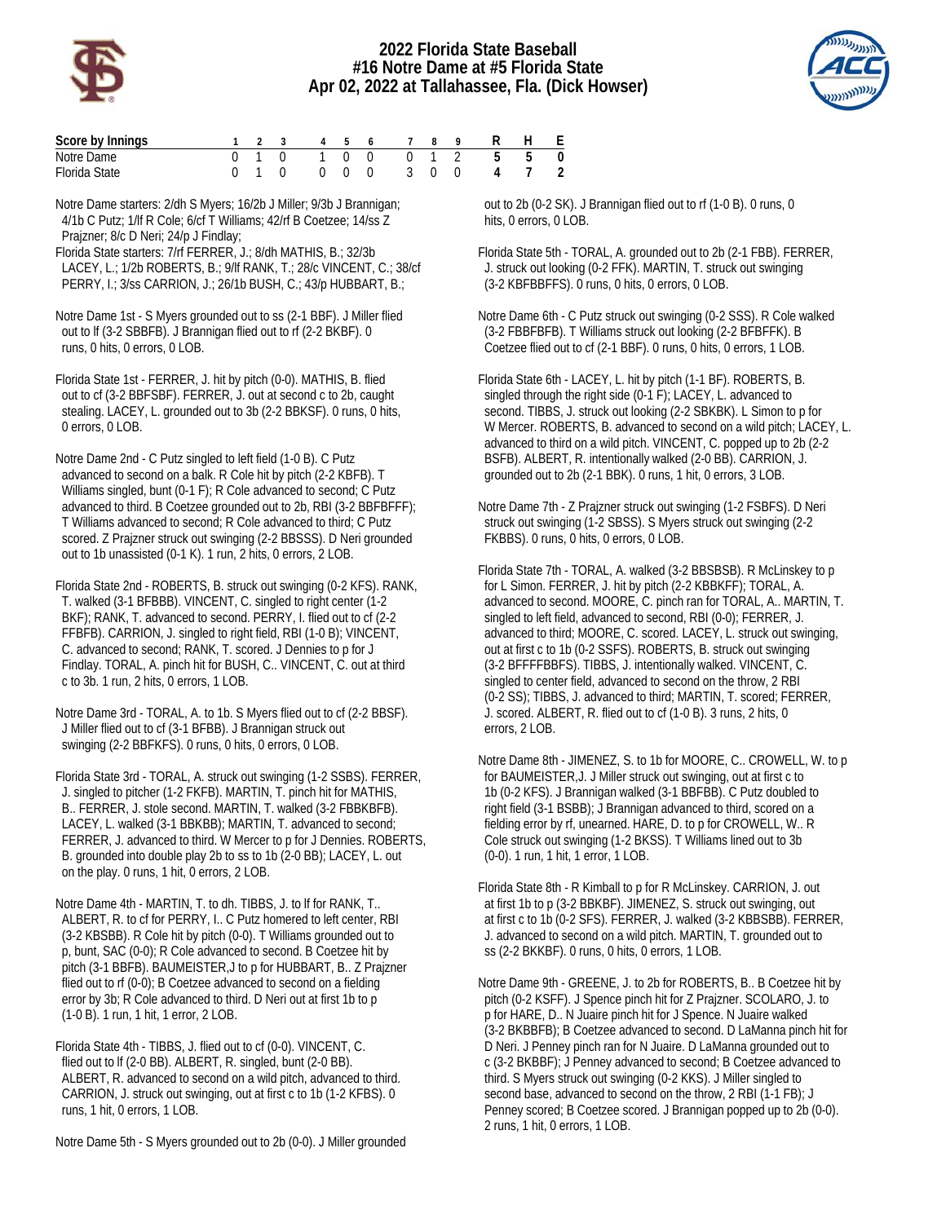

## **2022 Florida State Baseball #16 Notre Dame at #5 Florida State Apr 02, 2022 at Tallahassee, Fla. (Dick Howser)**



| Score by Innings |  |  |  |  | 1 2 3 4 5 6 7 8 9 R H E |  |
|------------------|--|--|--|--|-------------------------|--|
| Notre Dame       |  |  |  |  | 0 1 0 1 0 0 0 1 2 5 5 0 |  |
| Florida State    |  |  |  |  | 0 1 0 0 0 0 3 0 0 4 7 2 |  |

Notre Dame starters: 2/dh S Myers; 16/2b J Miller; 9/3b J Brannigan; 4/1b C Putz; 1/lf R Cole; 6/cf T Williams; 42/rf B Coetzee; 14/ss Z Prajzner; 8/c D Neri; 24/p J Findlay;

Florida State starters: 7/rf FERRER, J.; 8/dh MATHIS, B.; 32/3b LACEY, L.; 1/2b ROBERTS, B.; 9/lf RANK, T.; 28/c VINCENT, C.; 38/cf PERRY, I.; 3/ss CARRION, J.; 26/1b BUSH, C.; 43/p HUBBART, B.;

Notre Dame 1st - S Myers grounded out to ss (2-1 BBF). J Miller flied out to lf (3-2 SBBFB). J Brannigan flied out to rf (2-2 BKBF). 0 runs, 0 hits, 0 errors, 0 LOB.

Florida State 1st - FERRER, J. hit by pitch (0-0). MATHIS, B. flied out to cf (3-2 BBFSBF). FERRER, J. out at second c to 2b, caught stealing. LACEY, L. grounded out to 3b (2-2 BBKSF). 0 runs, 0 hits, 0 errors, 0 LOB.

Notre Dame 2nd - C Putz singled to left field (1-0 B). C Putz advanced to second on a balk. R Cole hit by pitch (2-2 KBFB). T Williams singled, bunt (0-1 F); R Cole advanced to second; C Putz advanced to third. B Coetzee grounded out to 2b, RBI (3-2 BBFBFFF); T Williams advanced to second; R Cole advanced to third; C Putz scored. Z Prajzner struck out swinging (2-2 BBSSS). D Neri grounded out to 1b unassisted (0-1 K). 1 run, 2 hits, 0 errors, 2 LOB.

Florida State 2nd - ROBERTS, B. struck out swinging (0-2 KFS). RANK, T. walked (3-1 BFBBB). VINCENT, C. singled to right center (1-2 BKF); RANK, T. advanced to second. PERRY, I. flied out to cf (2-2 FFBFB). CARRION, J. singled to right field, RBI (1-0 B); VINCENT, C. advanced to second; RANK, T. scored. J Dennies to p for J Findlay. TORAL, A. pinch hit for BUSH, C.. VINCENT, C. out at third c to 3b. 1 run, 2 hits, 0 errors, 1 LOB.

Notre Dame 3rd - TORAL, A. to 1b. S Myers flied out to cf (2-2 BBSF). J Miller flied out to cf (3-1 BFBB). J Brannigan struck out swinging (2-2 BBFKFS). 0 runs, 0 hits, 0 errors, 0 LOB.

Florida State 3rd - TORAL, A. struck out swinging (1-2 SSBS). FERRER, J. singled to pitcher (1-2 FKFB). MARTIN, T. pinch hit for MATHIS, B.. FERRER, J. stole second. MARTIN, T. walked (3-2 FBBKBFB). LACEY, L. walked (3-1 BBKBB); MARTIN, T. advanced to second; FERRER, J. advanced to third. W Mercer to p for J Dennies. ROBERTS, B. grounded into double play 2b to ss to 1b (2-0 BB); LACEY, L. out on the play. 0 runs, 1 hit, 0 errors, 2 LOB.

Notre Dame 4th - MARTIN, T. to dh. TIBBS, J. to lf for RANK, T.. ALBERT, R. to cf for PERRY, I.. C Putz homered to left center, RBI (3-2 KBSBB). R Cole hit by pitch (0-0). T Williams grounded out to p, bunt, SAC (0-0); R Cole advanced to second. B Coetzee hit by pitch (3-1 BBFB). BAUMEISTER,J to p for HUBBART, B.. Z Prajzner flied out to rf (0-0); B Coetzee advanced to second on a fielding error by 3b; R Cole advanced to third. D Neri out at first 1b to p (1-0 B). 1 run, 1 hit, 1 error, 2 LOB.

Florida State 4th - TIBBS, J. flied out to cf (0-0). VINCENT, C. flied out to lf (2-0 BB). ALBERT, R. singled, bunt (2-0 BB). ALBERT, R. advanced to second on a wild pitch, advanced to third. CARRION, J. struck out swinging, out at first c to 1b (1-2 KFBS). 0 runs, 1 hit, 0 errors, 1 LOB.

Notre Dame 5th - S Myers grounded out to 2b (0-0). J Miller grounded

 out to 2b (0-2 SK). J Brannigan flied out to rf (1-0 B). 0 runs, 0 hits, 0 errors, 0 LOB.

Florida State 5th - TORAL, A. grounded out to 2b (2-1 FBB). FERRER, J. struck out looking (0-2 FFK). MARTIN, T. struck out swinging (3-2 KBFBBFFS). 0 runs, 0 hits, 0 errors, 0 LOB.

Notre Dame 6th - C Putz struck out swinging (0-2 SSS). R Cole walked (3-2 FBBFBFB). T Williams struck out looking (2-2 BFBFFK). B Coetzee flied out to cf (2-1 BBF). 0 runs, 0 hits, 0 errors, 1 LOB.

Florida State 6th - LACEY, L. hit by pitch (1-1 BF). ROBERTS, B. singled through the right side (0-1 F); LACEY, L. advanced to second. TIBBS, J. struck out looking (2-2 SBKBK). L Simon to p for W Mercer. ROBERTS, B. advanced to second on a wild pitch; LACEY, L. advanced to third on a wild pitch. VINCENT, C. popped up to 2b (2-2 BSFB). ALBERT, R. intentionally walked (2-0 BB). CARRION, J. grounded out to 2b (2-1 BBK). 0 runs, 1 hit, 0 errors, 3 LOB.

Notre Dame 7th - Z Prajzner struck out swinging (1-2 FSBFS). D Neri struck out swinging (1-2 SBSS). S Myers struck out swinging (2-2 FKBBS). 0 runs, 0 hits, 0 errors, 0 LOB.

Florida State 7th - TORAL, A. walked (3-2 BBSBSB). R McLinskey to p for L Simon. FERRER, J. hit by pitch (2-2 KBBKFF); TORAL, A. advanced to second. MOORE, C. pinch ran for TORAL, A.. MARTIN, T. singled to left field, advanced to second, RBI (0-0); FERRER, J. advanced to third; MOORE, C. scored. LACEY, L. struck out swinging, out at first c to 1b (0-2 SSFS). ROBERTS, B. struck out swinging (3-2 BFFFFBBFS). TIBBS, J. intentionally walked. VINCENT, C. singled to center field, advanced to second on the throw, 2 RBI (0-2 SS); TIBBS, J. advanced to third; MARTIN, T. scored; FERRER, J. scored. ALBERT, R. flied out to cf (1-0 B). 3 runs, 2 hits, 0 errors, 2 LOB.

Notre Dame 8th - JIMENEZ, S. to 1b for MOORE, C.. CROWELL, W. to p for BAUMEISTER,J. J Miller struck out swinging, out at first c to 1b (0-2 KFS). J Brannigan walked (3-1 BBFBB). C Putz doubled to right field (3-1 BSBB); J Brannigan advanced to third, scored on a fielding error by rf, unearned. HARE, D. to p for CROWELL, W.. R Cole struck out swinging (1-2 BKSS). T Williams lined out to 3b (0-0). 1 run, 1 hit, 1 error, 1 LOB.

Florida State 8th - R Kimball to p for R McLinskey. CARRION, J. out at first 1b to p (3-2 BBKBF). JIMENEZ, S. struck out swinging, out at first c to 1b (0-2 SFS). FERRER, J. walked (3-2 KBBSBB). FERRER, J. advanced to second on a wild pitch. MARTIN, T. grounded out to ss (2-2 BKKBF). 0 runs, 0 hits, 0 errors, 1 LOB.

Notre Dame 9th - GREENE, J. to 2b for ROBERTS, B.. B Coetzee hit by pitch (0-2 KSFF). J Spence pinch hit for Z Prajzner. SCOLARO, J. to p for HARE, D.. N Juaire pinch hit for J Spence. N Juaire walked (3-2 BKBBFB); B Coetzee advanced to second. D LaManna pinch hit for D Neri. J Penney pinch ran for N Juaire. D LaManna grounded out to c (3-2 BKBBF); J Penney advanced to second; B Coetzee advanced to third. S Myers struck out swinging (0-2 KKS). J Miller singled to second base, advanced to second on the throw, 2 RBI (1-1 FB); J Penney scored; B Coetzee scored. J Brannigan popped up to 2b (0-0). 2 runs, 1 hit, 0 errors, 1 LOB.